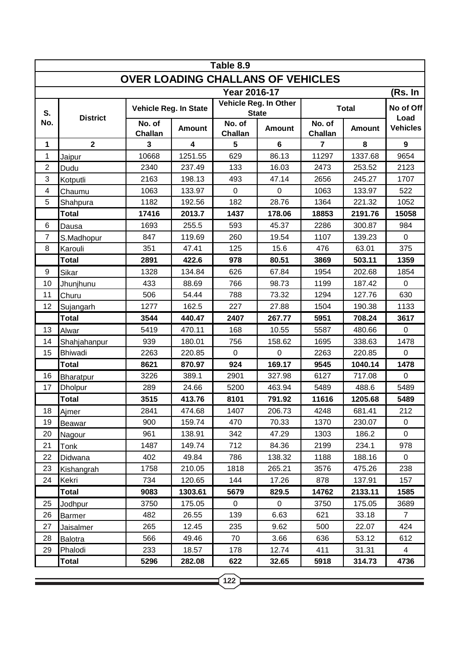| Table 8.9                                |                  |                          |                         |                                       |                |                          |               |                   |  |  |  |  |
|------------------------------------------|------------------|--------------------------|-------------------------|---------------------------------------|----------------|--------------------------|---------------|-------------------|--|--|--|--|
| <b>OVER LOADING CHALLANS OF VEHICLES</b> |                  |                          |                         |                                       |                |                          |               |                   |  |  |  |  |
| Year 2016-17<br>(Rs. In                  |                  |                          |                         |                                       |                |                          |               |                   |  |  |  |  |
| S.<br>No.                                | <b>District</b>  | Vehicle Reg. In State    |                         | Vehicle Reg. In Other<br><b>State</b> |                | <b>Total</b>             |               | No of Off<br>Load |  |  |  |  |
|                                          |                  | No. of<br><b>Challan</b> | <b>Amount</b>           | No. of<br><b>Challan</b>              | <b>Amount</b>  | No. of<br><b>Challan</b> | <b>Amount</b> | <b>Vehicles</b>   |  |  |  |  |
| $\mathbf{1}$                             | $\mathbf{2}$     | 3                        | $\overline{\mathbf{4}}$ | 5                                     | $6\phantom{a}$ | $\overline{7}$           | 8             | 9                 |  |  |  |  |
| 1                                        | Jaipur           | 10668                    | 1251.55                 | 629                                   | 86.13          | 11297                    | 1337.68       | 9654              |  |  |  |  |
| $\overline{2}$                           | Dudu             | 2340                     | 237.49                  | 133                                   | 16.03          | 2473                     | 253.52        | 2123              |  |  |  |  |
| 3                                        | Kotputli         | 2163                     | 198.13                  | 493                                   | 47.14          | 2656                     | 245.27        | 1707              |  |  |  |  |
| 4                                        | Chaumu           | 1063                     | 133.97                  | $\mathbf 0$                           | $\overline{0}$ | 1063                     | 133.97        | 522               |  |  |  |  |
| 5                                        | Shahpura         | 1182                     | 192.56                  | 182                                   | 28.76          | 1364                     | 221.32        | 1052              |  |  |  |  |
|                                          | <b>Total</b>     | 17416                    | 2013.7                  | 1437                                  | 178.06         | 18853                    | 2191.76       | 15058             |  |  |  |  |
| 6                                        | Dausa            | 1693                     | 255.5                   | 593                                   | 45.37          | 2286                     | 300.87        | 984               |  |  |  |  |
| $\overline{7}$                           | S.Madhopur       | 847                      | 119.69                  | 260                                   | 19.54          | 1107                     | 139.23        | $\mathbf 0$       |  |  |  |  |
| 8                                        | Karouli          | 351                      | 47.41                   | 125                                   | 15.6           | 476                      | 63.01         | 375               |  |  |  |  |
|                                          | <b>Total</b>     | 2891                     | 422.6                   | 978                                   | 80.51          | 3869                     | 503.11        | 1359              |  |  |  |  |
| 9                                        | Sikar            | 1328                     | 134.84                  | 626                                   | 67.84          | 1954                     | 202.68        | 1854              |  |  |  |  |
| 10                                       | Jhunjhunu        | 433                      | 88.69                   | 766                                   | 98.73          | 1199                     | 187.42        | $\mathbf 0$       |  |  |  |  |
| 11                                       | Churu            | 506                      | 54.44                   | 788                                   | 73.32          | 1294                     | 127.76        | 630               |  |  |  |  |
| 12                                       | Sujangarh        | 1277                     | 162.5                   | 227                                   | 27.88          | 1504                     | 190.38        | 1133              |  |  |  |  |
|                                          | <b>Total</b>     | 3544                     | 440.47                  | 2407                                  | 267.77         | 5951                     | 708.24        | 3617              |  |  |  |  |
| 13                                       | Alwar            | 5419                     | 470.11                  | 168                                   | 10.55          | 5587                     | 480.66        | $\mathbf 0$       |  |  |  |  |
| 14                                       | Shahjahanpur     | 939                      | 180.01                  | 756                                   | 158.62         | 1695                     | 338.63        | 1478              |  |  |  |  |
| 15                                       | <b>Bhiwadi</b>   | 2263                     | 220.85                  | $\mathbf 0$                           | $\mathbf 0$    | 2263                     | 220.85        | $\mathbf 0$       |  |  |  |  |
|                                          | <b>Total</b>     | 8621                     | 870.97                  | 924                                   | 169.17         | 9545                     | 1040.14       | 1478              |  |  |  |  |
| 16                                       | <b>Bharatpur</b> | 3226                     | 389.1                   | 2901                                  | 327.98         | 6127                     | 717.08        | $\mathbf 0$       |  |  |  |  |
| 17                                       | Dholpur          | 289                      | 24.66                   | 5200                                  | 463.94         | 5489                     | 488.6         | 5489              |  |  |  |  |
|                                          | <b>Total</b>     | 3515                     | 413.76                  | 8101                                  | 791.92         | 11616                    | 1205.68       | 5489              |  |  |  |  |
| 18                                       | Ajmer            | 2841                     | 474.68                  | 1407                                  | 206.73         | 4248                     | 681.41        | 212               |  |  |  |  |
| 19                                       | Beawar           | 900                      | 159.74                  | 470                                   | 70.33          | 1370                     | 230.07        | 0                 |  |  |  |  |
| 20                                       | Nagour           | 961                      | 138.91                  | 342                                   | 47.29          | 1303                     | 186.2         | $\Omega$          |  |  |  |  |
| 21                                       | Tonk             | 1487                     | 149.74                  | 712                                   | 84.36          | 2199                     | 234.1         | 978               |  |  |  |  |
| 22                                       | Didwana          | 402                      | 49.84                   | 786                                   | 138.32         | 1188                     | 188.16        | 0                 |  |  |  |  |
| 23                                       | Kishangrah       | 1758                     | 210.05                  | 1818                                  | 265.21         | 3576                     | 475.26        | 238               |  |  |  |  |
| 24                                       | Kekri            | 734                      | 120.65                  | 144                                   | 17.26          | 878                      | 137.91        | 157               |  |  |  |  |
|                                          | <b>Total</b>     | 9083                     | 1303.61                 | 5679                                  | 829.5          | 14762                    | 2133.11       | 1585              |  |  |  |  |
| 25                                       | Jodhpur          | 3750                     | 175.05                  | 0                                     | 0              | 3750                     | 175.05        | 3689              |  |  |  |  |
| 26                                       | Barmer           | 482                      | 26.55                   | 139                                   | 6.63           | 621                      | 33.18         | $\overline{7}$    |  |  |  |  |
| 27                                       | Jaisalmer        | 265                      | 12.45                   | 235                                   | 9.62           | 500                      | 22.07         | 424               |  |  |  |  |
| 28                                       | Balotra          | 566                      | 49.46                   | 70                                    | 3.66           | 636                      | 53.12         | 612               |  |  |  |  |
| 29                                       | Phalodi          | 233                      | 18.57                   | 178                                   | 12.74          | 411                      | 31.31         | 4                 |  |  |  |  |
|                                          | <b>Total</b>     | 5296                     | 282.08                  | 622                                   | 32.65          | 5918                     | 314.73        | 4736              |  |  |  |  |

**122**